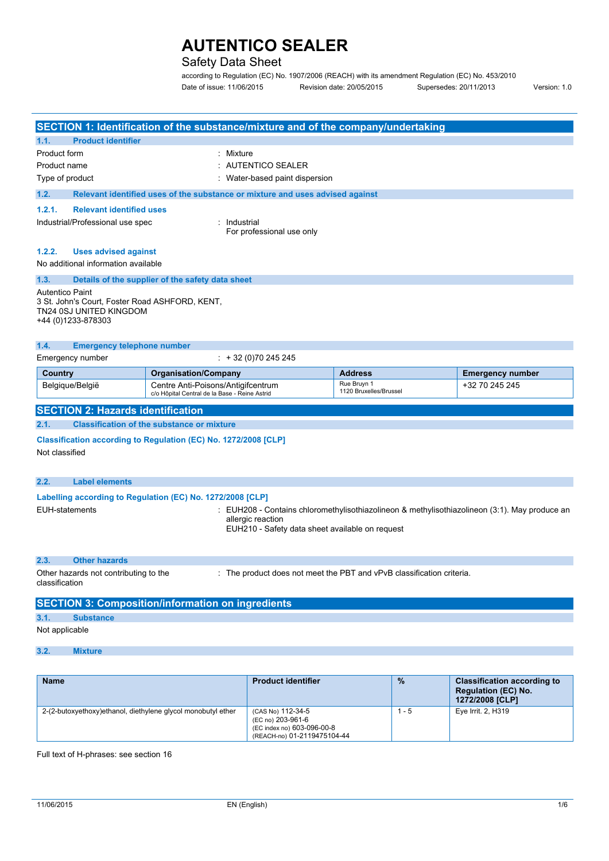## Safety Data Sheet

according to Regulation (EC) No. 1907/2006 (REACH) with its amendment Regulation (EC) No. 453/2010 Date of issue: 11/06/2015 Revision date: 20/05/2015 Supersedes: 20/11/2013 Version: 1.0

|                                  |                                                                                                 |                                                                                     | SECTION 1: Identification of the substance/mixture and of the company/undertaking |                                                                                             |                         |
|----------------------------------|-------------------------------------------------------------------------------------------------|-------------------------------------------------------------------------------------|-----------------------------------------------------------------------------------|---------------------------------------------------------------------------------------------|-------------------------|
| 1.1.                             | <b>Product identifier</b>                                                                       |                                                                                     |                                                                                   |                                                                                             |                         |
| Product form                     |                                                                                                 |                                                                                     | Mixture                                                                           |                                                                                             |                         |
| Product name                     |                                                                                                 |                                                                                     | <b>AUTENTICO SEALER</b>                                                           |                                                                                             |                         |
| Type of product                  |                                                                                                 |                                                                                     | Water-based paint dispersion                                                      |                                                                                             |                         |
| 1.2.                             |                                                                                                 |                                                                                     | Relevant identified uses of the substance or mixture and uses advised against     |                                                                                             |                         |
| 1.2.1.                           | <b>Relevant identified uses</b>                                                                 |                                                                                     |                                                                                   |                                                                                             |                         |
| Industrial/Professional use spec |                                                                                                 |                                                                                     | Industrial<br>For professional use only                                           |                                                                                             |                         |
| 1.2.2.                           | <b>Uses advised against</b><br>No additional information available                              |                                                                                     |                                                                                   |                                                                                             |                         |
| 1.3.                             | Details of the supplier of the safety data sheet                                                |                                                                                     |                                                                                   |                                                                                             |                         |
| <b>Autentico Paint</b>           | 3 St. John's Court, Foster Road ASHFORD, KENT,<br>TN24 0SJ UNITED KINGDOM<br>+44 (0)1233-878303 |                                                                                     |                                                                                   |                                                                                             |                         |
| 1.4.                             | <b>Emergency telephone number</b>                                                               |                                                                                     |                                                                                   |                                                                                             |                         |
|                                  | Emergency number                                                                                |                                                                                     | $\div$ + 32 (0) 70 245 245                                                        |                                                                                             |                         |
| <b>Country</b>                   |                                                                                                 | <b>Organisation/Company</b>                                                         |                                                                                   | <b>Address</b>                                                                              | <b>Emergency number</b> |
|                                  | Belgique/België                                                                                 | Centre Anti-Poisons/Antigifcentrum<br>c/o Hôpital Central de la Base - Reine Astrid |                                                                                   | Rue Bruyn 1<br>1120 Bruxelles/Brussel                                                       | +32 70 245 245          |
|                                  | <b>SECTION 2: Hazards identification</b>                                                        |                                                                                     |                                                                                   |                                                                                             |                         |
| 2.1.                             |                                                                                                 | <b>Classification of the substance or mixture</b>                                   |                                                                                   |                                                                                             |                         |
| Not classified                   | Classification according to Regulation (EC) No. 1272/2008 [CLP]                                 |                                                                                     |                                                                                   |                                                                                             |                         |
| 2.2.                             | <b>Label elements</b>                                                                           |                                                                                     |                                                                                   |                                                                                             |                         |
|                                  | Labelling according to Regulation (EC) No. 1272/2008 [CLP]                                      |                                                                                     |                                                                                   |                                                                                             |                         |
| <b>EUH-statements</b>            |                                                                                                 |                                                                                     | allergic reaction<br>EUH210 - Safety data sheet available on request              | EUH208 - Contains chloromethylisothiazolineon & methylisothiazolineon (3:1). May produce an |                         |
|                                  |                                                                                                 |                                                                                     |                                                                                   |                                                                                             |                         |

#### **2.3. Other hazards**

Other hazards not contributing to the : The product does not meet the PBT and vPvB classification criteria.

classification

### **SECTION 3: Composition/information on ingredients 3.1. Substance** Not applicable

#### **3.2. Mixture**

| <b>Name</b>                                                   | <b>Product identifier</b>                                                                           | $\frac{9}{6}$ | <b>Classification according to</b><br><b>Regulation (EC) No.</b><br>1272/2008 [CLP] |
|---------------------------------------------------------------|-----------------------------------------------------------------------------------------------------|---------------|-------------------------------------------------------------------------------------|
| 2-(2-butoxyethoxy) ethanol, diethylene glycol monobutyl ether | (CAS No) 112-34-5<br>(EC no) 203-961-6<br>(EC index no) 603-096-00-8<br>(REACH-no) 01-2119475104-44 | 1 - 5         | Eye Irrit. 2, H319                                                                  |

Full text of H-phrases: see section 16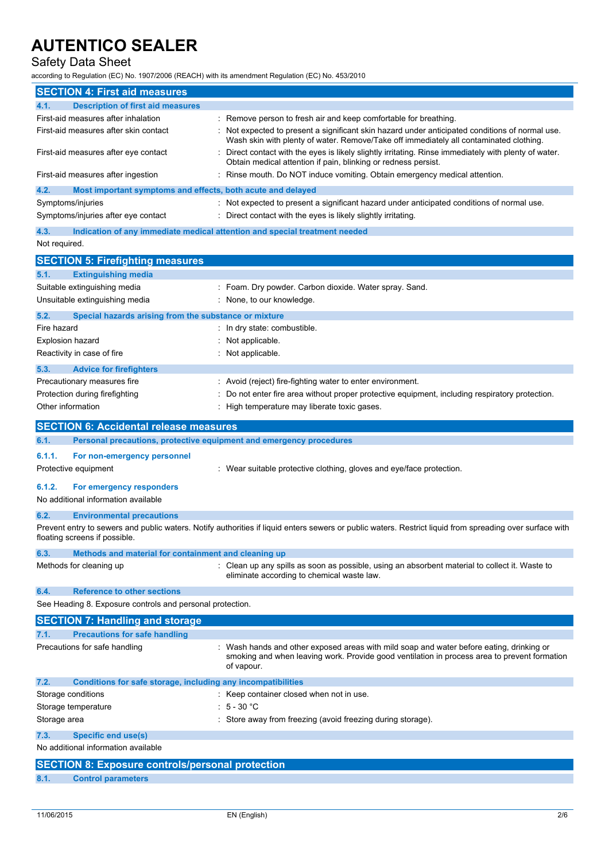## Safety Data Sheet

according to Regulation (EC) No. 1907/2006 (REACH) with its amendment Regulation (EC) No. 453/2010

|                         | <b>SECTION 4: First aid measures</b>                                |                                                                                                                                                                                                      |
|-------------------------|---------------------------------------------------------------------|------------------------------------------------------------------------------------------------------------------------------------------------------------------------------------------------------|
| 4.1.                    | <b>Description of first aid measures</b>                            |                                                                                                                                                                                                      |
|                         | First-aid measures after inhalation                                 | Remove person to fresh air and keep comfortable for breathing.                                                                                                                                       |
|                         | First-aid measures after skin contact                               | Not expected to present a significant skin hazard under anticipated conditions of normal use.<br>Wash skin with plenty of water. Remove/Take off immediately all contaminated clothing.              |
|                         | First-aid measures after eye contact                                | Direct contact with the eyes is likely slightly irritating. Rinse immediately with plenty of water.<br>Obtain medical attention if pain, blinking or redness persist.                                |
|                         | First-aid measures after ingestion                                  | Rinse mouth. Do NOT induce vomiting. Obtain emergency medical attention.                                                                                                                             |
| 4.2.                    | Most important symptoms and effects, both acute and delayed         |                                                                                                                                                                                                      |
| Symptoms/injuries       |                                                                     | : Not expected to present a significant hazard under anticipated conditions of normal use.                                                                                                           |
|                         | Symptoms/injuries after eye contact                                 | Direct contact with the eyes is likely slightly irritating.                                                                                                                                          |
| 4.3.                    |                                                                     | Indication of any immediate medical attention and special treatment needed                                                                                                                           |
| Not required.           |                                                                     |                                                                                                                                                                                                      |
|                         | <b>SECTION 5: Firefighting measures</b>                             |                                                                                                                                                                                                      |
| 5.1.                    | <b>Extinguishing media</b>                                          |                                                                                                                                                                                                      |
|                         | Suitable extinguishing media                                        | : Foam. Dry powder. Carbon dioxide. Water spray. Sand.                                                                                                                                               |
|                         | Unsuitable extinguishing media                                      | None, to our knowledge.                                                                                                                                                                              |
| 5.2.                    | Special hazards arising from the substance or mixture               |                                                                                                                                                                                                      |
| Fire hazard             |                                                                     | : In dry state: combustible.                                                                                                                                                                         |
| <b>Explosion hazard</b> |                                                                     | Not applicable.                                                                                                                                                                                      |
|                         | Reactivity in case of fire                                          | Not applicable.                                                                                                                                                                                      |
| 5.3.                    | <b>Advice for firefighters</b>                                      |                                                                                                                                                                                                      |
|                         | Precautionary measures fire                                         | Avoid (reject) fire-fighting water to enter environment.                                                                                                                                             |
|                         | Protection during firefighting                                      | Do not enter fire area without proper protective equipment, including respiratory protection.                                                                                                        |
| Other information       |                                                                     | High temperature may liberate toxic gases.                                                                                                                                                           |
|                         | <b>SECTION 6: Accidental release measures</b>                       |                                                                                                                                                                                                      |
| 6.1.                    | Personal precautions, protective equipment and emergency procedures |                                                                                                                                                                                                      |
|                         |                                                                     |                                                                                                                                                                                                      |
| 6.1.1.                  | For non-emergency personnel<br>Protective equipment                 | : Wear suitable protective clothing, gloves and eye/face protection.                                                                                                                                 |
| 6.1.2.                  | For emergency responders                                            |                                                                                                                                                                                                      |
|                         | No additional information available                                 |                                                                                                                                                                                                      |
| 6.2.                    |                                                                     |                                                                                                                                                                                                      |
|                         | <b>Environmental precautions</b><br>floating screens if possible.   | Prevent entry to sewers and public waters. Notify authorities if liquid enters sewers or public waters. Restrict liquid from spreading over surface with                                             |
| 6.3.                    | Methods and material for containment and cleaning up                |                                                                                                                                                                                                      |
|                         | Methods for cleaning up                                             | : Clean up any spills as soon as possible, using an absorbent material to collect it. Waste to<br>eliminate according to chemical waste law.                                                         |
| 6.4.                    | <b>Reference to other sections</b>                                  |                                                                                                                                                                                                      |
|                         | See Heading 8. Exposure controls and personal protection.           |                                                                                                                                                                                                      |
|                         | <b>SECTION 7: Handling and storage</b>                              |                                                                                                                                                                                                      |
| 7.1.                    | <b>Precautions for safe handling</b>                                |                                                                                                                                                                                                      |
|                         | Precautions for safe handling                                       | Wash hands and other exposed areas with mild soap and water before eating, drinking or<br>smoking and when leaving work. Provide good ventilation in process area to prevent formation<br>of vapour. |
| 7.2.                    | Conditions for safe storage, including any incompatibilities        |                                                                                                                                                                                                      |
| Storage conditions      |                                                                     | Keep container closed when not in use.                                                                                                                                                               |
|                         | Storage temperature                                                 | $5 - 30 °C$                                                                                                                                                                                          |
| Storage area            |                                                                     | Store away from freezing (avoid freezing during storage).                                                                                                                                            |
| 7.3.                    | <b>Specific end use(s)</b>                                          |                                                                                                                                                                                                      |
|                         | No additional information available                                 |                                                                                                                                                                                                      |
|                         | <b>SECTION 8: Exposure controls/personal protection</b>             |                                                                                                                                                                                                      |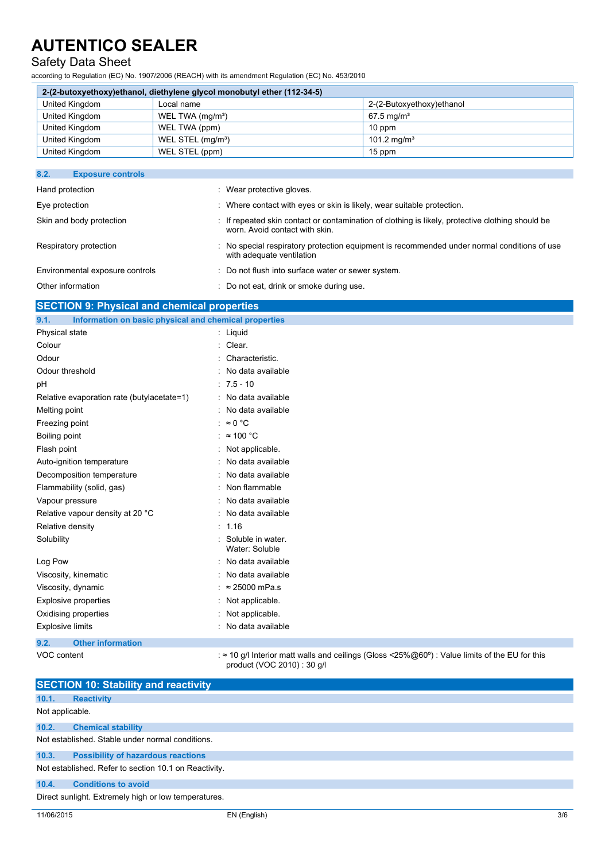### Safety Data Sheet

according to Regulation (EC) No. 1907/2006 (REACH) with its amendment Regulation (EC) No. 453/2010

|                | 2-(2-butoxyethoxy)ethanol, diethylene glycol monobutyl ether (112-34-5) |                           |
|----------------|-------------------------------------------------------------------------|---------------------------|
| United Kingdom | Local name                                                              | 2-(2-Butoxyethoxy)ethanol |
| United Kingdom | WEL TWA (mg/m <sup>3</sup> )                                            | $67.5 \,\mathrm{mq/m^3}$  |
| United Kingdom | WEL TWA (ppm)                                                           | $10$ ppm                  |
| United Kingdom | WEL STEL (mg/m <sup>3</sup> )                                           | 101.2 mg/m <sup>3</sup>   |
| United Kingdom | WEL STEL (ppm)                                                          | 15 ppm                    |

| 8.2.<br><b>Exposure controls</b> |                                                                                                                                    |
|----------------------------------|------------------------------------------------------------------------------------------------------------------------------------|
| Hand protection                  | : Wear protective gloves.                                                                                                          |
| Eye protection                   | : Where contact with eyes or skin is likely, wear suitable protection.                                                             |
| Skin and body protection         | : If repeated skin contact or contamination of clothing is likely, protective clothing should be<br>worn. Avoid contact with skin. |
| Respiratory protection           | : No special respiratory protection equipment is recommended under normal conditions of use<br>with adequate ventilation           |
| Environmental exposure controls  | : Do not flush into surface water or sewer system.                                                                                 |
| Other information                | : Do not eat, drink or smoke during use.                                                                                           |

### **SECTION 9: Physical and chemical properties**

| Information on basic physical and chemical properties<br>9.1. |                                                                                                                                      |
|---------------------------------------------------------------|--------------------------------------------------------------------------------------------------------------------------------------|
| Physical state                                                | : Liquid                                                                                                                             |
| Colour                                                        | Clear.                                                                                                                               |
| Odour                                                         | Characteristic.                                                                                                                      |
| Odour threshold                                               | No data available                                                                                                                    |
| рH                                                            | $: 7.5 - 10$                                                                                                                         |
| Relative evaporation rate (butylacetate=1)                    | No data available                                                                                                                    |
| Melting point                                                 | No data available                                                                                                                    |
| Freezing point                                                | : $\approx 0$ °C                                                                                                                     |
| Boiling point                                                 | $\approx$ 100 °C                                                                                                                     |
| Flash point                                                   | Not applicable.                                                                                                                      |
| Auto-ignition temperature                                     | No data available                                                                                                                    |
| Decomposition temperature                                     | No data available                                                                                                                    |
| Flammability (solid, gas)                                     | Non flammable                                                                                                                        |
| Vapour pressure                                               | No data available                                                                                                                    |
| Relative vapour density at 20 °C                              | No data available                                                                                                                    |
| Relative density                                              | : 1.16                                                                                                                               |
| Solubility                                                    | Soluble in water.<br>Water: Soluble                                                                                                  |
| Log Pow                                                       | No data available                                                                                                                    |
| Viscosity, kinematic                                          | No data available                                                                                                                    |
| Viscosity, dynamic                                            | $\approx$ 25000 mPa.s                                                                                                                |
| <b>Explosive properties</b>                                   | Not applicable.                                                                                                                      |
| Oxidising properties                                          | Not applicable.                                                                                                                      |
| <b>Explosive limits</b>                                       | : No data available                                                                                                                  |
| 9.2.<br><b>Other information</b>                              |                                                                                                                                      |
| VOC content                                                   | : $\approx$ 10 g/l Interior matt walls and ceilings (Gloss <25%@60°) : Value limits of the EU for this<br>product (VOC 2010): 30 q/l |

|                 | <b>SECTION 10: Stability and reactivity</b>           |              |     |
|-----------------|-------------------------------------------------------|--------------|-----|
| 10.1.           |                                                       |              |     |
|                 | <b>Reactivity</b>                                     |              |     |
| Not applicable. |                                                       |              |     |
| 10.2.           | <b>Chemical stability</b>                             |              |     |
|                 | Not established. Stable under normal conditions.      |              |     |
| 10.3.           | <b>Possibility of hazardous reactions</b>             |              |     |
|                 | Not established. Refer to section 10.1 on Reactivity. |              |     |
| 10.4.           | <b>Conditions to avoid</b>                            |              |     |
|                 | Direct sunlight. Extremely high or low temperatures.  |              |     |
| 11/06/2015      |                                                       | EN (English) | 3/6 |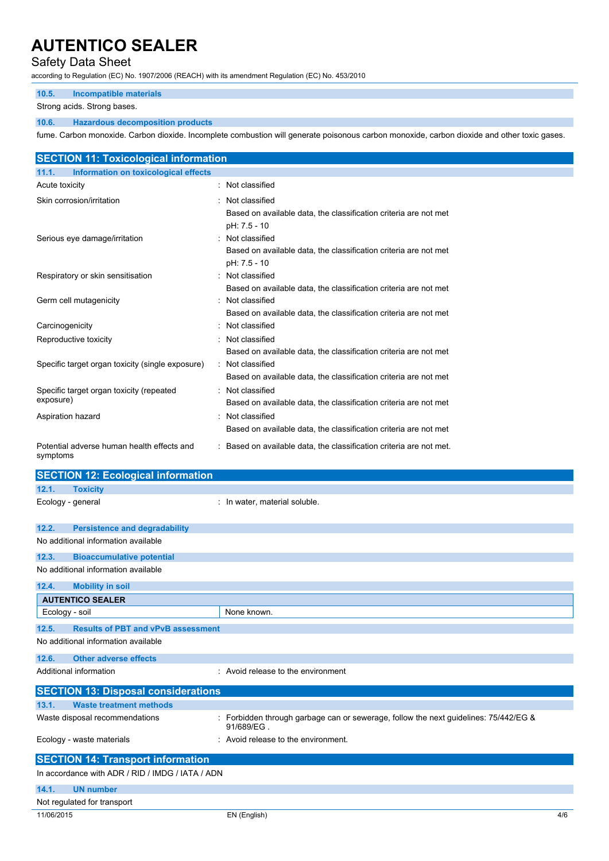### Safety Data Sheet

according to Regulation (EC) No. 1907/2006 (REACH) with its amendment Regulation (EC) No. 453/2010

#### **10.5. Incompatible materials**

Strong acids. Strong bases.

#### **10.6. Hazardous decomposition products**

fume. Carbon monoxide. Carbon dioxide. Incomplete combustion will generate poisonous carbon monoxide, carbon dioxide and other toxic gases.

| <b>SECTION 11: Toxicological information</b>           |                                                                                                                    |
|--------------------------------------------------------|--------------------------------------------------------------------------------------------------------------------|
| Information on toxicological effects<br>11.1.          |                                                                                                                    |
| Acute toxicity                                         | : Not classified                                                                                                   |
| Skin corrosion/irritation                              | Not classified<br>Based on available data, the classification criteria are not met                                 |
| Serious eye damage/irritation                          | pH: 7.5 - 10<br>Not classified<br>Based on available data, the classification criteria are not met<br>pH: 7.5 - 10 |
| Respiratory or skin sensitisation                      | Not classified<br>Based on available data, the classification criteria are not met                                 |
| Germ cell mutagenicity                                 | : Not classified<br>Based on available data, the classification criteria are not met                               |
| Carcinogenicity                                        | Not classified                                                                                                     |
| Reproductive toxicity                                  | Not classified<br>Based on available data, the classification criteria are not met                                 |
| Specific target organ toxicity (single exposure)       | : Not classified<br>Based on available data, the classification criteria are not met                               |
| Specific target organ toxicity (repeated<br>exposure)  | Not classified<br>Based on available data, the classification criteria are not met                                 |
| Aspiration hazard                                      | Not classified<br>Based on available data, the classification criteria are not met                                 |
| Potential adverse human health effects and<br>symptoms | : Based on available data, the classification criteria are not met.                                                |
| <b>SECTION 12: Ecological information</b>              |                                                                                                                    |
| 12.1.<br><b>Toxicity</b>                               |                                                                                                                    |
| Ecology - general                                      | : In water, material soluble.                                                                                      |
| 12.2.<br><b>Persistence and degradability</b>          |                                                                                                                    |
| No additional information available                    |                                                                                                                    |
| <b>Bioaccumulative potential</b><br>12.3.              |                                                                                                                    |
| No additional information available                    |                                                                                                                    |
| 12.4.<br><b>Mobility in soil</b>                       |                                                                                                                    |
| <b>AUTENTICO SEALER</b>                                |                                                                                                                    |
| Ecology - soil                                         | None known.                                                                                                        |
| ADE<br><b>Desults of DDT and UDUD second</b>           |                                                                                                                    |

**Results of PBT and vPv** No additional information available

```
12.6. Other adverse effects
```
Additional information **interest in the environment** : Avoid release to the environment

| <b>SECTION 13: Disposal considerations</b>       |                                                                                                    |
|--------------------------------------------------|----------------------------------------------------------------------------------------------------|
| 13.1.<br><b>Waste treatment methods</b>          |                                                                                                    |
| Waste disposal recommendations                   | : Forbidden through garbage can or sewerage, follow the next guidelines: 75/442/EG &<br>91/689/EG. |
| Ecology - waste materials                        | : Avoid release to the environment.                                                                |
| <b>SECTION 14: Transport information</b>         |                                                                                                    |
| In accordance with ADR / RID / IMDG / IATA / ADN |                                                                                                    |
| 14.1.<br><b>UN number</b>                        |                                                                                                    |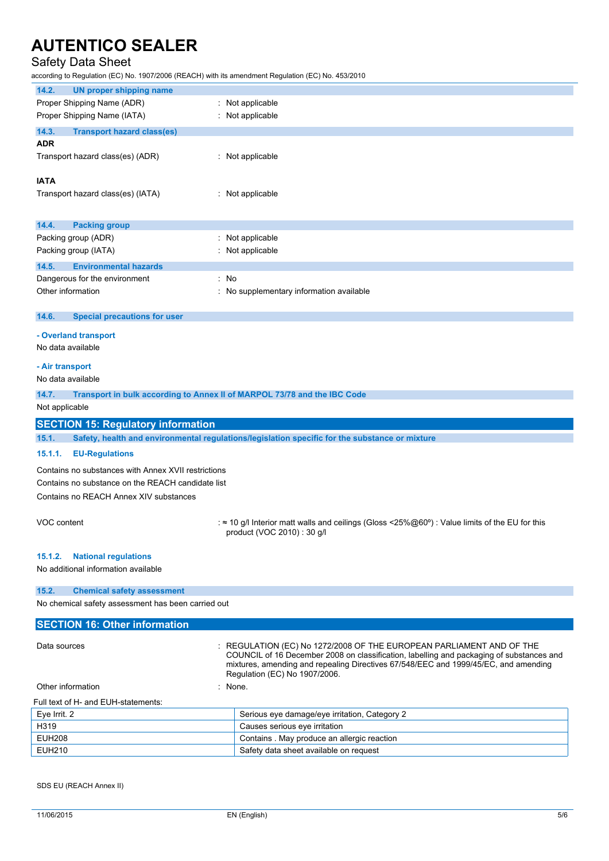## Safety Data Sheet

according to Regulation (EC) No. 1907/2006 (REACH) with its amendment Regulation (EC) No. 453/2010

| 14.2.<br><b>UN proper shipping name</b>                                                                 |                                                                                                                                                                  |
|---------------------------------------------------------------------------------------------------------|------------------------------------------------------------------------------------------------------------------------------------------------------------------|
| Proper Shipping Name (ADR)                                                                              | : Not applicable                                                                                                                                                 |
| Proper Shipping Name (IATA)                                                                             | : Not applicable                                                                                                                                                 |
| 14.3.<br><b>Transport hazard class(es)</b>                                                              |                                                                                                                                                                  |
| <b>ADR</b>                                                                                              |                                                                                                                                                                  |
| Transport hazard class(es) (ADR)                                                                        | : Not applicable                                                                                                                                                 |
|                                                                                                         |                                                                                                                                                                  |
| <b>IATA</b>                                                                                             |                                                                                                                                                                  |
| Transport hazard class(es) (IATA)                                                                       | : Not applicable                                                                                                                                                 |
|                                                                                                         |                                                                                                                                                                  |
| 14.4.<br><b>Packing group</b>                                                                           |                                                                                                                                                                  |
| Packing group (ADR)                                                                                     | : Not applicable                                                                                                                                                 |
| Packing group (IATA)                                                                                    | : Not applicable                                                                                                                                                 |
| 14.5.<br><b>Environmental hazards</b>                                                                   |                                                                                                                                                                  |
| : No<br>Dangerous for the environment                                                                   |                                                                                                                                                                  |
| Other information                                                                                       | : No supplementary information available                                                                                                                         |
|                                                                                                         |                                                                                                                                                                  |
| 14.6.<br><b>Special precautions for user</b>                                                            |                                                                                                                                                                  |
| - Overland transport                                                                                    |                                                                                                                                                                  |
| No data available                                                                                       |                                                                                                                                                                  |
|                                                                                                         |                                                                                                                                                                  |
| - Air transport<br>No data available                                                                    |                                                                                                                                                                  |
|                                                                                                         |                                                                                                                                                                  |
| 14.7.<br>Transport in bulk according to Annex II of MARPOL 73/78 and the IBC Code                       |                                                                                                                                                                  |
| Not applicable                                                                                          |                                                                                                                                                                  |
| <b>SECTION 15: Regulatory information</b>                                                               |                                                                                                                                                                  |
| 15.1.<br>Safety, health and environmental regulations/legislation specific for the substance or mixture |                                                                                                                                                                  |
|                                                                                                         |                                                                                                                                                                  |
| 15.1.1.<br><b>EU-Regulations</b>                                                                        |                                                                                                                                                                  |
| Contains no substances with Annex XVII restrictions                                                     |                                                                                                                                                                  |
| Contains no substance on the REACH candidate list                                                       |                                                                                                                                                                  |
| Contains no REACH Annex XIV substances                                                                  |                                                                                                                                                                  |
|                                                                                                         |                                                                                                                                                                  |
| VOC content                                                                                             |                                                                                                                                                                  |
|                                                                                                         | : ≈ 10 g/l Interior matt walls and ceilings (Gloss <25%@60°) : Value limits of the EU for this<br>product (VOC 2010) : 30 g/l                                    |
|                                                                                                         |                                                                                                                                                                  |
| 15.1.2.<br><b>National regulations</b>                                                                  |                                                                                                                                                                  |
| No additional information available                                                                     |                                                                                                                                                                  |
|                                                                                                         |                                                                                                                                                                  |
| 15.2.<br><b>Chemical safety assessment</b>                                                              |                                                                                                                                                                  |
| No chemical safety assessment has been carried out                                                      |                                                                                                                                                                  |
| <b>SECTION 16: Other information</b>                                                                    |                                                                                                                                                                  |
|                                                                                                         |                                                                                                                                                                  |
| Data sources                                                                                            | : REGULATION (EC) No 1272/2008 OF THE EUROPEAN PARLIAMENT AND OF THE<br>COUNCIL of 16 December 2008 on classification, labelling and packaging of substances and |
|                                                                                                         | mixtures, amending and repealing Directives 67/548/EEC and 1999/45/EC, and amending                                                                              |
|                                                                                                         | Regulation (EC) No 1907/2006.                                                                                                                                    |
| Other information                                                                                       | : None.                                                                                                                                                          |
| Full text of H- and EUH-statements:                                                                     |                                                                                                                                                                  |
| Eye Irrit. 2                                                                                            | Serious eye damage/eye irritation, Category 2                                                                                                                    |
| H319                                                                                                    | Causes serious eye irritation                                                                                                                                    |
| <b>EUH208</b><br><b>EUH210</b>                                                                          | Contains . May produce an allergic reaction<br>Safety data sheet available on request                                                                            |

SDS EU (REACH Annex II)